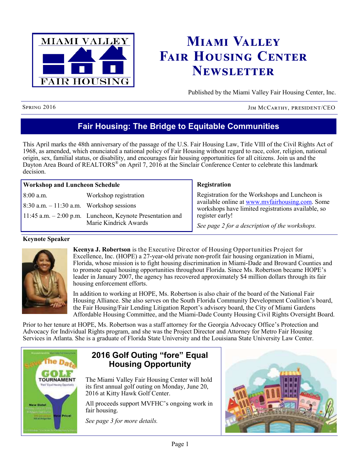

# **Miami Valley Fair Housing Center Newsletter**

Published by the Miami Valley Fair Housing Center, Inc.

Spring 2016 JIM McCarthy, president/CEO

## **Fair Housing: The Bridge to Equitable Communities**

This April marks the 48th anniversary of the passage of the U.S. Fair Housing Law, Title VIII of the Civil Rights Act of 1968, as amended, which enunciated a national policy of Fair Housing without regard to race, color, religion, national origin, sex, familial status, or disability, and encourages fair housing opportunities for all citizens. Join us and the Dayton Area Board of REALTORS<sup>®</sup> on April 7, 2016 at the Sinclair Conference Center to celebrate this landmark decision.

| <b>Workshop and Luncheon Schedule</b>       |                                                            | Registration                                                                                          |  |  |
|---------------------------------------------|------------------------------------------------------------|-------------------------------------------------------------------------------------------------------|--|--|
| $8:00$ a.m.                                 | Workshop registration                                      | Registration for the Workshops and Luncheon is                                                        |  |  |
| $8:30$ a.m. $-11:30$ a.m. Workshop sessions |                                                            | available online at www.mvfairhousing.com. Some<br>workshops have limited registrations available, so |  |  |
|                                             | 11:45 a.m. $-2:00$ p.m. Luncheon, Keynote Presentation and | register early!                                                                                       |  |  |
|                                             | Marie Kindrick Awards                                      | See page 2 for a description of the workshops.                                                        |  |  |

### **Keynote Speaker**



**Keenya J. Robertson** is the Executive Director of [Housing Opportunities Project for](http://www.hopefhc.com/)  [Excellence, Inc.](http://www.hopefhc.com/) (HOPE) a 27-year-old private non-profit fair housing organization in Miami, Florida, whose mission is to fight housing discrimination in Miami-Dade and Broward Counties and to promote equal housing opportunities throughout Florida. Since Ms. Robertson became HOPE's leader in January 2007, the agency has recovered approximately \$4 million dollars through its fair housing enforcement efforts.

In addition to working at HOPE, Ms. Robertson is also chair of the board of the National Fair Housing Alliance. She also serves on the South Florida Community Development Coalition's board, the Fair Housing/Fair Lending Litigation Report's advisory board, the City of Miami Gardens Affordable Housing Committee, and the Miami-Dade County Housing Civil Rights Oversight Board.

Prior to her tenure at HOPE, Ms. Robertson was a staff attorney for the Georgia Advocacy Office's Protection and Advocacy for Individual Rights program, and she was the Project Director and Attorney for Metro Fair Housing Services in Atlanta. She is a graduate of Florida State University and the Louisiana State University Law Center.



## **2016 Golf Outing "fore" Equal Housing Opportunity**

The Miami Valley Fair Housing Center will hold its first annual golf outing on Monday, June 20, 2016 at Kitty Hawk Golf Center.

All proceeds support MVFHC's ongoing work in fair housing.

*See page 3 for more details.*

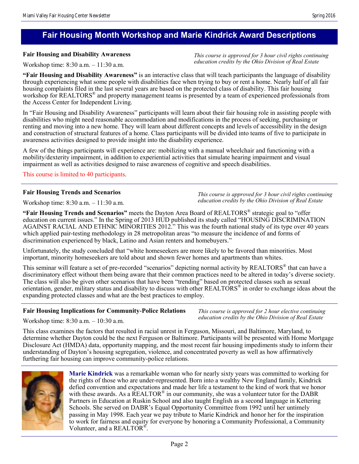## **Fair Housing Month Workshop and Marie Kindrick Award Descriptions**

### **Fair Housing and Disability Awareness**

Workshop time: 8:30 a.m. – 11:30 a.m.

**"Fair Housing and Disability Awareness"** is an interactive class that will teach participants the language of disability through experiencing what some people with disabilities face when trying to buy or rent a home. Nearly half of all fair housing complaints filed in the last several years are based on the protected class of disability. This fair housing workshop for REALTORS<sup>®</sup> and property management teams is presented by a team of experienced professionals from the Access Center for Independent Living.

In "Fair Housing and Disability Awareness" participants will learn about their fair housing role in assisting people with disabilities who might need reasonable accommodation and modifications in the process of seeking, purchasing or renting and moving into a new home. They will learn about different concepts and levels of accessibility in the design and construction of structural features of a home. Class participants will be divided into teams of five to participate in awareness activities designed to provide insight into the disability experience.

A few of the things participants will experience are: mobilizing with a manual wheelchair and functioning with a mobility/dexterity impairment, in addition to experiential activities that simulate hearing impairment and visual impairment as well as activities designed to raise awareness of cognitive and speech disabilities.

This course is limited to 40 participants.

### **Fair Housing Trends and Scenarios**

Workshop time: 8:30 a.m. – 11:30 a.m.

*This course is approved for 3 hour civil rights continuing education credits by the Ohio Division of Real Estate*

*This course is approved for 3 hour civil rights continuing education credits by the Ohio Division of Real Estate*

**"Fair Housing Trends and Scenarios"** meets the Dayton Area Board of REALTORS® strategic goal to "offer education on current issues." In the Spring of 2013 HUD published its study called "HOUSING DISCRIMINATION AGAINST RACIAL AND ETHNIC MINORITIES 2012." This was the fourth national study of its type over 40 years which applied pair-testing methodology in 28 metropolitan areas "to measure the incidence of and forms of discrimination experienced by black, Latino and Asian renters and homebuyers."

Unfortunately, the study concluded that "white homeseekers are more likely to be favored than minorities. Most important, minority homeseekers are told about and shown fewer homes and apartments than whites.

This seminar will feature a set of pre-recorded "scenarios" depicting normal activity by REALTORS<sup>®</sup> that can have a discriminatory effect without them being aware that their common practices need to be altered in today's diverse society. The class will also be given other scenarios that have been "trending" based on protected classes such as sexual orientation, gender, military status and disability to discuss with other REALTORS<sup>®</sup> in order to exchange ideas about the expanding protected classes and what are the best practices to employ.

### **Fair Housing Implications for Community-Police Relations**

*This course is approved for 2 hour elective continuing education credits by the Ohio Division of Real Estate*

Workshop time: 8:30 a.m. – 10:30 a.m.

This class examines the factors that resulted in racial unrest in Ferguson, Missouri, and Baltimore, Maryland, to determine whether Dayton could be the next Ferguson or Baltimore. Participants will be presented with Home Mortgage Disclosure Act (HMDA) data, opportunity mapping, and the most recent fair housing impediments study to inform their understanding of Dayton's housing segregation, violence, and concentrated poverty as well as how affirmatively furthering fair housing can improve community-police relations.



**Marie Kindrick** was a remarkable woman who for nearly sixty years was committed to working for the rights of those who are under-represented. Born into a wealthy New England family, Kindrick defied convention and expectations and made her life a testament to the kind of work that we honor with these awards. As a  $\overline{REALTOR}^{\otimes}$  in our community, she was a volunteer tutor for the DABR Partners in Education at Ruskin School and also taught English as a second language in Kettering Schools. She served on DABR's Equal Opportunity Committee from 1992 until her untimely passing in May 1998. Each year we pay tribute to Marie Kindrick and honor her for the inspiration to work for fairness and equity for everyone by honoring a Community Professional, a Community Volunteer, and a REALTOR<sup>®</sup>.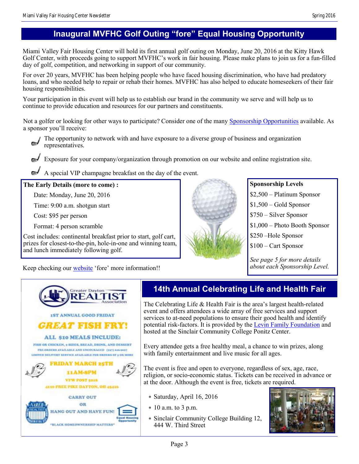Miami Valley Fair Housing Center will hold its first annual golf outing on Monday, June 20, 2016 at the Kitty Hawk Golf Center, with proceeds going to support MVFHC's work in fair housing. Please make plans to join us for a fun-filled day of golf, competition, and networking in support of our community.

For over 20 years, MVFHC has been helping people who have faced housing discrimination, who have had predatory loans, and who needed help to repair or rehab their homes. MVFHC has also helped to educate homeseekers of their fair housing responsibilities.

Your participation in this event will help us to establish our brand in the community we serve and will help us to continue to provide education and resources for our partners and constituents.

Not a golfer or looking for other ways to participate? Consider one of the many [Sponsorship Opportunities](http://www.mvfhc.com/golfsponsor/) available. As a sponsor you'll receive:



Exposure for your company/organization through promotion on our website and online registration site.

A special VIP champagne breakfast on the day of the event.

### **The Early Details (more to come) :**

Date: Monday, June 20, 2016

Time: 9:00 a.m. shotgun start

Cost: \$95 per person

Format: 4 person scramble

Cost includes: continental breakfast prior to start, golf cart, prizes for closest-to-the-pin, hole-in-one and winning team, and lunch immediately following golf.



### **Sponsorship Levels**

\$2,500 – Platinum Sponsor

 $$1,500 - Gold Sponsor$ 

\$750 – Silver Sponsor

\$1,000 – Photo Booth Sponsor

\$250 –Hole Sponsor

\$100 – Cart Sponsor

*See page 5 for more details* 

Keep checking our [website](http://www.mvfairhousing.com) 'fore' more information!!<br>
about each Sponsorship Level.



## **14th Annual Celebrating Life and Health Fair**

The Celebrating Life & Health Fair is the area's largest health-related event and offers attendees a wide array of free services and support services to at-need populations to ensure their good health and identify potential risk-factors. It is provided by the [Levin Family Foundation](http://www.levinfamilyfoundation.org/) and hosted at the Sinclair Community College Ponitz Center.

Every attendee gets a free healthy meal, a chance to win prizes, along with family entertainment and live music for all ages.

The event is free and open to everyone, regardless of sex, age, race, religion, or socio-economic status. Tickets can be received in advance or at the door. Although the event is free, tickets are required.

- Saturday, April 16, 2016
- 10 a.m. to 3 p.m.
- Sinclair Community College Building 12, 444 W. Third Street

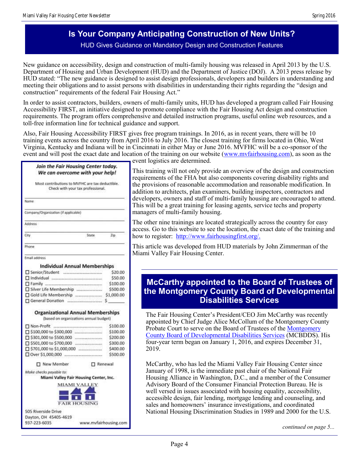## **Is Your Company Anticipating Construction of New Units?** HUD Gives Guidance on Mandatory Design and Construction Features

New guidance on accessibility, design and construction of multi-family housing was released in April 2013 by the U.S. Department of Housing and Urban Development (HUD) and the Department of Justice (DOJ). A 2013 press release by HUD stated: "The new guidance is designed to assist design professionals, developers and builders in understanding and meeting their obligations and to assist persons with disabilities in understanding their rights regarding the "design and construction" requirements of the federal Fair Housing Act."

In order to assist contractors, builders, owners of multi-family units, HUD has developed a program called Fair Housing Accessibility FIRST, an initiative designed to promote compliance with the Fair Housing Act design and construction requirements. The program offers comprehensive and detailed instruction programs, useful online web resources, and a toll-free information line for technical guidance and support.

Also, Fair Housing Accessibility FIRST gives free program trainings. In 2016, as in recent years, there will be 10 training events across the country from April 2016 to July 2016. The closest training for firms located in Ohio, West Virginia, Kentucky and Indiana will be in Cincinnati in either May or June 2016. MVFHC will be a co-sponsor of the event and will post the exact date and location of the training on our website ([www.mvfairhousing.com\)](http://www.mvfairhousing.com), as soon as the

#### Join the Fair Housing Center today. We can overcome with your help!

|                                             | Most contributions to MVFHC are tax deductible.<br>Check with your tax professional.<br>10 전쟁 사업 시험이 선생님께서 이렇게 보이지 않아서 보이지 않아. |        |     |
|---------------------------------------------|--------------------------------------------------------------------------------------------------------------------------------|--------|-----|
| Name.                                       |                                                                                                                                |        |     |
| Company/Organization (if applicable)<br>--- |                                                                                                                                |        |     |
| Address<br>1420 U.H                         |                                                                                                                                |        |     |
| <b>Sity</b>                                 |                                                                                                                                | State. | Zin |
|                                             |                                                                                                                                |        |     |

Email address

#### **Individual Annual Memberships**

| Senior/Student                | \$20.00    |
|-------------------------------|------------|
|                               | \$50.00    |
|                               | \$100.00   |
| Silver Life Membership        | \$500.00   |
| Gold Life Membership          | \$1,000.00 |
| <b>D</b> General Donation<br> |            |

#### **Organizational Annual Memberships**

| □ Non-Profit                                     | \$100.00 |
|--------------------------------------------------|----------|
| □ \$100,000 to \$300,000                         | \$100.00 |
| □ \$301,000 to \$500,000                         | \$200.00 |
| S501,000 to \$700,000                            | \$300.00 |
| □ \$701,000 to \$1,000,000                       | \$400.00 |
| □ Over \$1,000,000<br>인터넷에서 지어가 사용하여 사람이 비싸 아니다. | \$500.00 |

□ New Member

Renewal

Make checks payable to:

Miami Valley Fair Housing Center, Inc.



event logistics are determined.

This training will not only provide an overview of the design and construction requirements of the FHA but also components covering disability rights and the provisions of reasonable accommodation and reasonable modification. In addition to architects, plan examiners, building inspectors, contractors and developers, owners and staff of multi-family housing are encouraged to attend. This will be a great training for leasing agents, service techs and property managers of multi-family housing.

The other nine trainings are located strategically across the country for easy access. Go to this website to see the location, the exact date of the training and how to register: [http://www.fairhousingfirst.org/.](http://www.fairhousingfirst.org/)

This article was developed from HUD materials by John Zimmerman of the Miami Valley Fair Housing Center.

## **McCarthy appointed to the Board of Trustees of the Montgomery County Board of Developmental Disabilities Services**

The Fair Housing Center's President/CEO Jim McCarthy was recently appointed by Chief Judge Alice McCollum of the Montgomery County Probate Court to serve on the Board of Trustees of the Montgomery [County Board of Developmental Disabilities Services](http://www.mcbdds.org/) (MCBDDS). His four-year term began on January 1, 2016, and expires December 31, 2019.

McCarthy, who has led the Miami Valley Fair Housing Center since January of 1998, is the immediate past chair of the National Fair Housing Alliance in Washington, D.C., and a member of the Consumer Advisory Board of the Consumer Financial Protection Bureau. He is well versed in issues associated with housing equality, accessibility, accessible design, fair lending, mortgage lending and counseling, and sales and homeowners' insurance investigations, and coordinated National Housing Discrimination Studies in 1989 and 2000 for the U.S.

*continued on page 5...*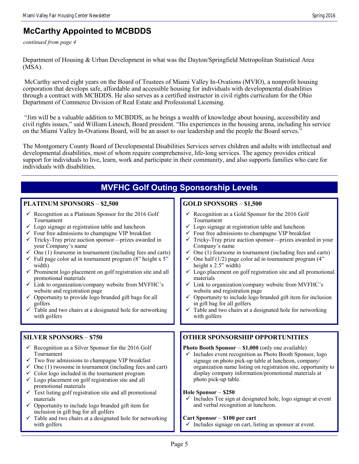## **McCarthy Appointed to MCBDDS**

*continued from page 4*

Department of Housing & Urban Development in what was the Dayton/Springfield Metropolitan Statistical Area (MSA).

McCarthy served eight years on the Board of Trustees of Miami Valley In-Ovations (MVIO), a nonprofit housing corporation that develops safe, affordable and accessible housing for individuals with developmental disabilities through a contract with MCBDDS. He also serves as a certified instructor in civil rights curriculum for the Ohio Department of Commerce Division of Real Estate and Professional Licensing.

"Jim will be a valuable addition to MCBDDS, as he brings a wealth of knowledge about housing, accessibility and civil rights issues," said William Linesch, Board president. "His experiences in the housing arena, including his service on the Miami Valley In-Ovations Board, will be an asset to our leadership and the people the Board serves."

The Montgomery County Board of Developmental Disabilities Services serves children and adults with intellectual and developmental disabilities, most of whom require comprehensive, life-long services. The agency provides critical support for individuals to live, learn, work and participate in their community, and also supports families who care for individuals with disabilities.

| <b>MVFHC Golf Outing Sponsorship Levels</b>                                                                                                                                                                                                                                                                                                                                                                                                                                                                                                                                                                                                                                                                                                                                                                                                  |                                                                                                                                                                                                                                                                                                                                                                                                                                                                                                                                                                                                                                                                                                                                                                                                                                                          |  |  |  |
|----------------------------------------------------------------------------------------------------------------------------------------------------------------------------------------------------------------------------------------------------------------------------------------------------------------------------------------------------------------------------------------------------------------------------------------------------------------------------------------------------------------------------------------------------------------------------------------------------------------------------------------------------------------------------------------------------------------------------------------------------------------------------------------------------------------------------------------------|----------------------------------------------------------------------------------------------------------------------------------------------------------------------------------------------------------------------------------------------------------------------------------------------------------------------------------------------------------------------------------------------------------------------------------------------------------------------------------------------------------------------------------------------------------------------------------------------------------------------------------------------------------------------------------------------------------------------------------------------------------------------------------------------------------------------------------------------------------|--|--|--|
| <b>PLATINUM SPONSORS - \$2,500</b>                                                                                                                                                                                                                                                                                                                                                                                                                                                                                                                                                                                                                                                                                                                                                                                                           | <b>GOLD SPONSORS - \$1,500</b>                                                                                                                                                                                                                                                                                                                                                                                                                                                                                                                                                                                                                                                                                                                                                                                                                           |  |  |  |
| $\checkmark$ Recognition as a Platinum Sponsor for the 2016 Golf<br>Tournament<br>$\checkmark$ Logo signage at registration table and luncheon<br>$\checkmark$ Four free admissions to champagne VIP breakfast<br>$\checkmark$ Tricky-Tray prize auction sponsor—prizes awarded in<br>your Company's name<br>$\checkmark$ One (1) foursome in tournament (including fees and carts)<br>$\checkmark$ Full page color ad in tournament program (8" height x 5"<br>width)<br>$\checkmark$ Prominent logo placement on golf registration site and all<br>promotional materials<br>✓ Link to organization/company website from MVFHC's<br>website and registration page<br>$\checkmark$ Opportunity to provide logo branded gift bags for all<br>golfers<br>$\checkmark$ Table and two chairs at a designated hole for networking<br>with golfers | $\checkmark$ Recognition as a Gold Sponsor for the 2016 Golf<br>Tournament<br>$\checkmark$ Logo signage at registration table and luncheon<br>$\checkmark$ Four free admissions to champagne VIP breakfast<br>Tricky-Tray prize auction sponsor-prizes awarded in your<br>Company's name<br>$\checkmark$ One (1) foursome in tournament (including fees and carts)<br>$\checkmark$ One half (1/2) page color ad in tournament program (4"<br>height x 2.5" width)<br>$\checkmark$ Logo placement on golf registration site and all promotional<br>materials<br>$\checkmark$ Link to organization/company website from MVFHC's<br>website and registration page<br>Opportunity to include logo branded gift item for inclusion<br>in gift bag for all golfers<br>Table and two chairs at a designated hole for networking<br>$\checkmark$<br>with golfers |  |  |  |
|                                                                                                                                                                                                                                                                                                                                                                                                                                                                                                                                                                                                                                                                                                                                                                                                                                              |                                                                                                                                                                                                                                                                                                                                                                                                                                                                                                                                                                                                                                                                                                                                                                                                                                                          |  |  |  |
| <b>SILVER SPONSORS - \$750</b>                                                                                                                                                                                                                                                                                                                                                                                                                                                                                                                                                                                                                                                                                                                                                                                                               | <b>OTHER SPONSORSHIP OPPORTUNITIES</b>                                                                                                                                                                                                                                                                                                                                                                                                                                                                                                                                                                                                                                                                                                                                                                                                                   |  |  |  |
| $\checkmark$ Recognition as a Silver Sponsor for the 2016 Golf<br>Tournament<br>$\checkmark$ Two free admissions to champagne VIP breakfast<br>$\checkmark$ One (1) twosome in tournament (including fees and cart)<br>$\checkmark$ Color logo included in the tournament program<br>$\checkmark$ Logo placement on golf registration site and all<br>promotional materials<br>$\checkmark$ Text listing golf registration site and all promotional<br>materials<br>$\checkmark$ Opportunity to include logo branded gift item for<br>inclusion in gift bag for all golfers                                                                                                                                                                                                                                                                  | <b>Photo Booth Sponsor - \$1,000</b> (only one available)<br>$\checkmark$ Includes event recognition as Photo Booth Sponsor, logo<br>signage on photo pick-up table at luncheon, company/<br>organization name listing on registration site, opportunity to<br>display company information/promotional materials at<br>photo pick-up table.<br>Hole Sponsor - \$250<br>Includes Tee sign at designated hole, logo signage at event<br>and verbal recognition at luncheon.                                                                                                                                                                                                                                                                                                                                                                                |  |  |  |
| $\checkmark$ Table and two chairs at a designated hole for networking<br>with golfers                                                                                                                                                                                                                                                                                                                                                                                                                                                                                                                                                                                                                                                                                                                                                        | Cart Sponsor - \$100 per cart<br>$\checkmark$ Includes signage on cart, listing as sponsor at event.                                                                                                                                                                                                                                                                                                                                                                                                                                                                                                                                                                                                                                                                                                                                                     |  |  |  |